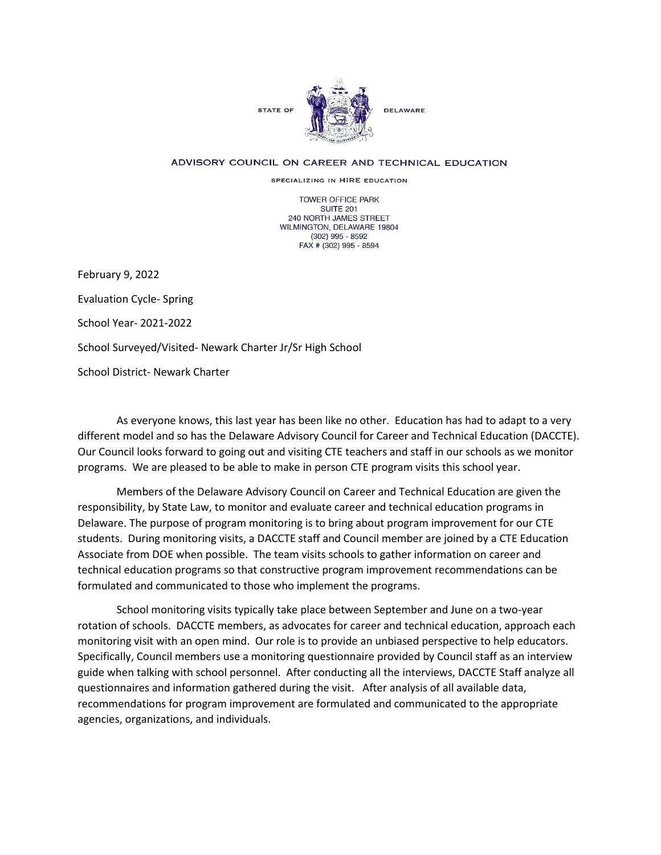

## ADVISORY COUNCIL ON CAREER AND TECHNICAL EDUCATION

SPECIALIZING IN HIRE EDUCATION

TOWER OFFICE PARK SUITE 201 240 NORTH JAMES STREET WILMINGTON, DELAWARE 19804 (302) 995 - 8592 FAX # (302) 995 - 8594

February 9, 2022 Evaluation Cycle- Spring School Year- 2021-2022 School Surveyed/Visited- Newark Charter Jr/Sr High School School District- Newark Charter

As everyone knows, this last year has been like no other. Education has had to adapt to a very different model and so has the Delaware Advisory Council for Career and Technical Education (DACCTE). Our Council looks forward to going out and visiting CTE teachers and staff in our schools as we monitor programs. We are pleased to be able to make in person CTE program visits this school year.

Members of the Delaware Advisory Council on Career and Technical Education are given the responsibility, by State Law, to monitor and evaluate career and technical education programs in Delaware. The purpose of program monitoring is to bring about program improvement for our CTE students. During monitoring visits, a DACCTE staff and Council member are joined by a CTE Education Associate from DOE when possible. The team visits schools to gather information on career and technical education programs so that constructive program improvement recommendations can be formulated and communicated to those who implement the programs.

School monitoring visits typically take place between September and June on a two-year rotation of schools. DACCTE members, as advocates for career and technical education, approach each monitoring visit with an open mind. Our role is to provide an unbiased perspective to help educators. Specifically, Council members use a monitoring questionnaire provided by Council staff as an interview guide when talking with school personnel. After conducting all the interviews, DACCTE Staff analyze all questionnaires and information gathered during the visit. After analysis of all available data, recommendations for program improvement are formulated and communicated to the appropriate agencies, organizations, and individuals.